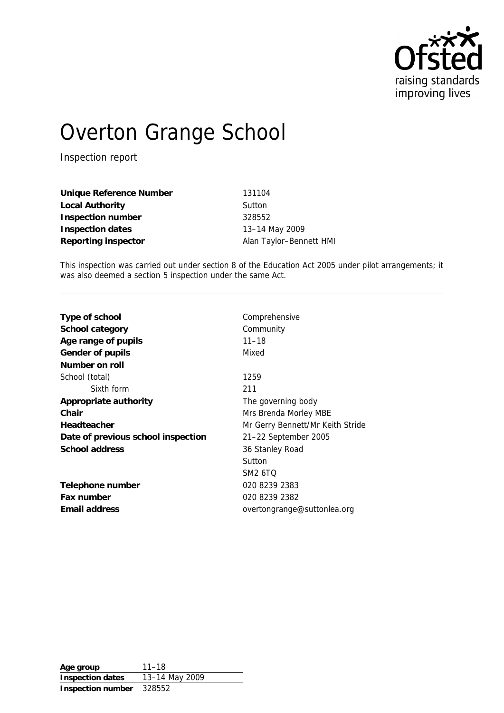

# Overton Grange School

Inspection report

**Unique Reference Number** 131104 Local Authority **Sutton Inspection number** 328552 **Inspection dates** 13–14 May 2009 Reporting inspector **Alan Taylor–Bennett HMI** 

This inspection was carried out under section 8 of the Education Act 2005 under pilot arrangements; it was also deemed a section 5 inspection under the same Act.

| Type of school                     | Comprehensive                    |
|------------------------------------|----------------------------------|
| School category                    | Community                        |
| Age range of pupils                | $11 - 18$                        |
| Gender of pupils                   | Mixed                            |
| Number on roll                     |                                  |
| School (total)                     | 1259                             |
| Sixth form                         | 211                              |
| Appropriate authority              | The governing body               |
| Chair                              | Mrs Brenda Morley MBE            |
| Headteacher                        | Mr Gerry Bennett/Mr Keith Stride |
| Date of previous school inspection | 21-22 September 2005             |
| School address                     | 36 Stanley Road                  |
|                                    | Sutton                           |
|                                    | <b>SM2 6TO</b>                   |
| Telephone number                   | 020 8239 2383                    |
| Fax number                         | 020 8239 2382                    |
| Email address                      | overtongrange@suttonlea.org      |
|                                    |                                  |

**Age group** 11–18 **Inspection dates** 13–14 May 2009 **Inspection number** 328552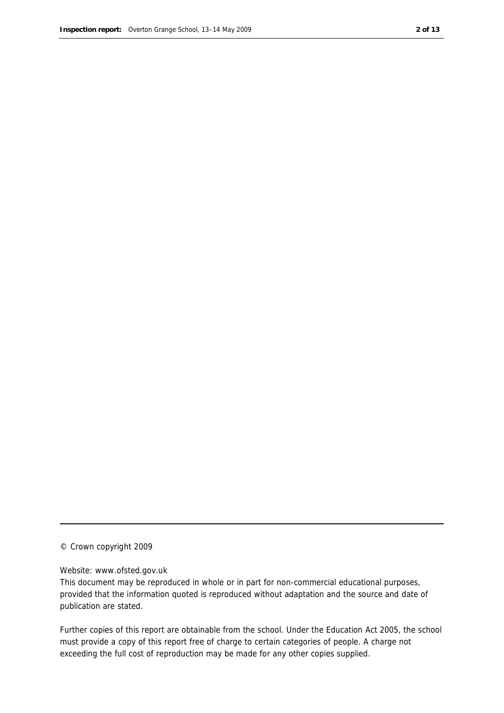#### © Crown copyright 2009

#### Website: www.ofsted.gov.uk

This document may be reproduced in whole or in part for non-commercial educational purposes, provided that the information quoted is reproduced without adaptation and the source and date of publication are stated.

Further copies of this report are obtainable from the school. Under the Education Act 2005, the school must provide a copy of this report free of charge to certain categories of people. A charge not exceeding the full cost of reproduction may be made for any other copies supplied.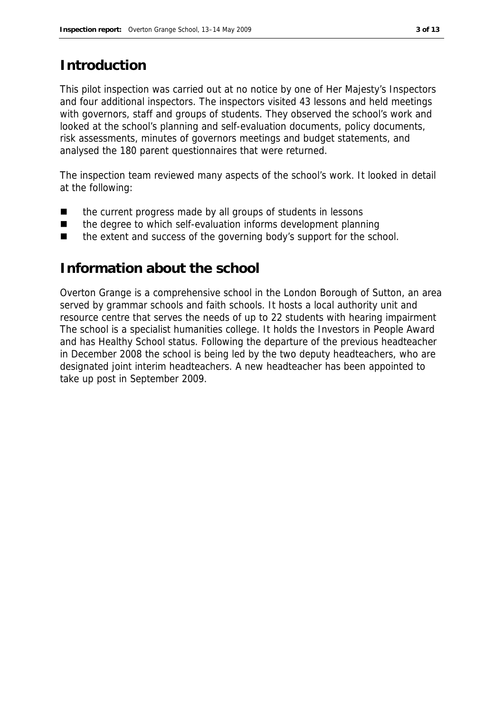#### **Introduction**

This pilot inspection was carried out at no notice by one of Her Majesty's Inspectors and four additional inspectors. The inspectors visited 43 lessons and held meetings with governors, staff and groups of students. They observed the school's work and looked at the school's planning and self-evaluation documents, policy documents, risk assessments, minutes of governors meetings and budget statements, and analysed the 180 parent questionnaires that were returned.

The inspection team reviewed many aspects of the school's work. It looked in detail at the following:

- the current progress made by all groups of students in lessons
- the degree to which self-evaluation informs development planning
- the extent and success of the governing body's support for the school.

#### **Information about the school**

Overton Grange is a comprehensive school in the London Borough of Sutton, an area served by grammar schools and faith schools. It hosts a local authority unit and resource centre that serves the needs of up to 22 students with hearing impairment The school is a specialist humanities college. It holds the Investors in People Award and has Healthy School status. Following the departure of the previous headteacher in December 2008 the school is being led by the two deputy headteachers, who are designated joint interim headteachers. A new headteacher has been appointed to take up post in September 2009.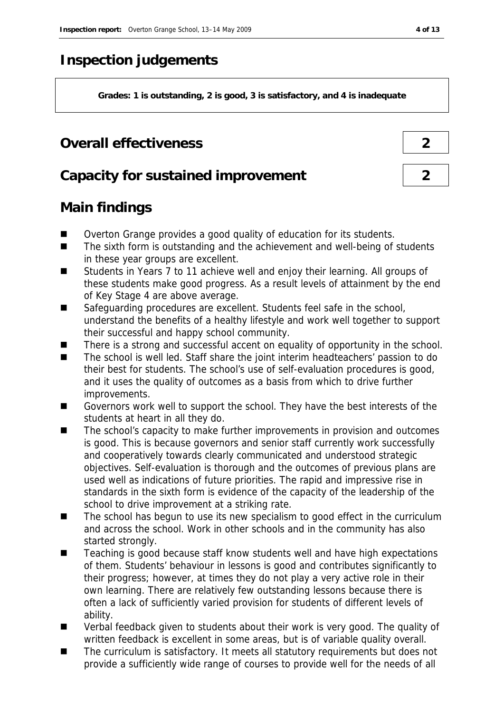## **Inspection judgements**

**Grades: 1 is outstanding, 2 is good, 3 is satisfactory, and 4 is inadequate**

#### **Overall effectiveness 2**

#### **Capacity for sustained improvement 2**

## **Main findings**

- Overton Grange provides a good quality of education for its students.
- The sixth form is outstanding and the achievement and well-being of students in these year groups are excellent.
- Students in Years 7 to 11 achieve well and enjoy their learning. All groups of these students make good progress. As a result levels of attainment by the end of Key Stage 4 are above average.
- Safeguarding procedures are excellent. Students feel safe in the school, understand the benefits of a healthy lifestyle and work well together to support their successful and happy school community.
- $\blacksquare$  There is a strong and successful accent on equality of opportunity in the school.
- The school is well led. Staff share the joint interim headteachers' passion to do their best for students. The school's use of self-evaluation procedures is good, and it uses the quality of outcomes as a basis from which to drive further improvements.
- Governors work well to support the school. They have the best interests of the students at heart in all they do.
- The school's capacity to make further improvements in provision and outcomes is good. This is because governors and senior staff currently work successfully and cooperatively towards clearly communicated and understood strategic objectives. Self-evaluation is thorough and the outcomes of previous plans are used well as indications of future priorities. The rapid and impressive rise in standards in the sixth form is evidence of the capacity of the leadership of the school to drive improvement at a striking rate.
- The school has begun to use its new specialism to good effect in the curriculum and across the school. Work in other schools and in the community has also started strongly.
- Teaching is good because staff know students well and have high expectations of them. Students' behaviour in lessons is good and contributes significantly to their progress; however, at times they do not play a very active role in their own learning. There are relatively few outstanding lessons because there is often a lack of sufficiently varied provision for students of different levels of ability.
- Verbal feedback given to students about their work is very good. The quality of written feedback is excellent in some areas, but is of variable quality overall.
- The curriculum is satisfactory. It meets all statutory requirements but does not provide a sufficiently wide range of courses to provide well for the needs of all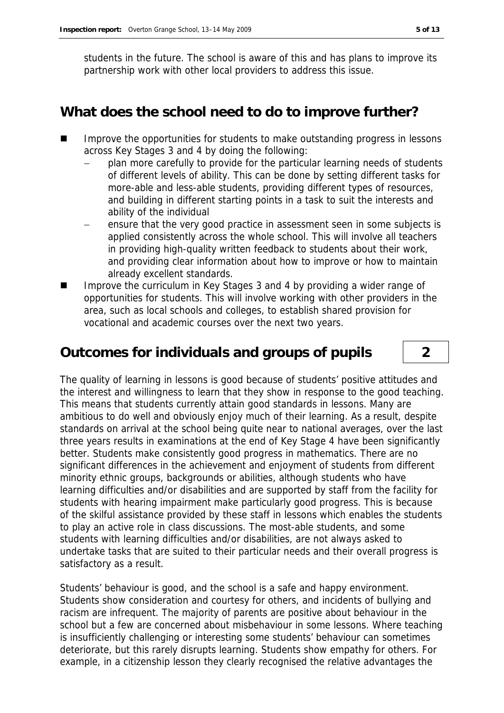students in the future. The school is aware of this and has plans to improve its partnership work with other local providers to address this issue.

#### **What does the school need to do to improve further?**

- Improve the opportunities for students to make outstanding progress in lessons across Key Stages 3 and 4 by doing the following:
	- plan more carefully to provide for the particular learning needs of students of different levels of ability. This can be done by setting different tasks for more-able and less-able students, providing different types of resources, and building in different starting points in a task to suit the interests and ability of the individual
	- ensure that the very good practice in assessment seen in some subjects is applied consistently across the whole school. This will involve all teachers in providing high-quality written feedback to students about their work, and providing clear information about how to improve or how to maintain already excellent standards.
- Improve the curriculum in Key Stages 3 and 4 by providing a wider range of opportunities for students. This will involve working with other providers in the area, such as local schools and colleges, to establish shared provision for vocational and academic courses over the next two years.

#### **Outcomes for individuals and groups of pupils 2**

The quality of learning in lessons is good because of students' positive attitudes and the interest and willingness to learn that they show in response to the good teaching. This means that students currently attain good standards in lessons. Many are ambitious to do well and obviously enjoy much of their learning. As a result, despite standards on arrival at the school being quite near to national averages, over the last three years results in examinations at the end of Key Stage 4 have been significantly better. Students make consistently good progress in mathematics. There are no significant differences in the achievement and enjoyment of students from different minority ethnic groups, backgrounds or abilities, although students who have learning difficulties and/or disabilities and are supported by staff from the facility for students with hearing impairment make particularly good progress. This is because of the skilful assistance provided by these staff in lessons which enables the students to play an active role in class discussions. The most-able students, and some students with learning difficulties and/or disabilities, are not always asked to undertake tasks that are suited to their particular needs and their overall progress is satisfactory as a result.

Students' behaviour is good, and the school is a safe and happy environment. Students show consideration and courtesy for others, and incidents of bullying and racism are infrequent. The majority of parents are positive about behaviour in the school but a few are concerned about misbehaviour in some lessons. Where teaching is insufficiently challenging or interesting some students' behaviour can sometimes deteriorate, but this rarely disrupts learning. Students show empathy for others. For example, in a citizenship lesson they clearly recognised the relative advantages the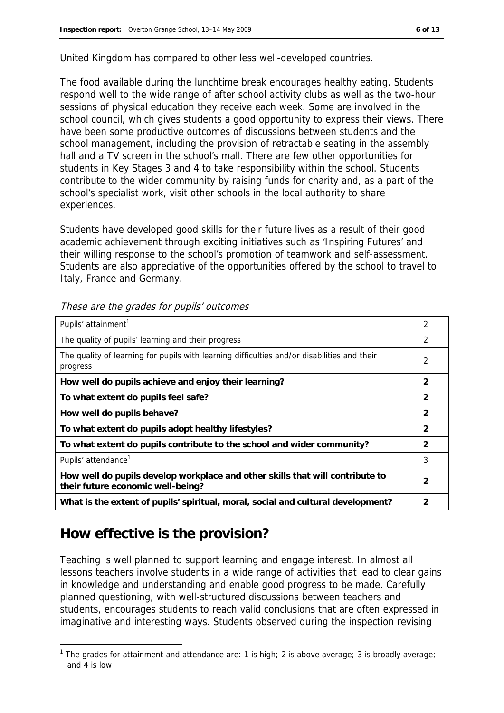United Kingdom has compared to other less well-developed countries.

The food available during the lunchtime break encourages healthy eating. Students respond well to the wide range of after school activity clubs as well as the two-hour sessions of physical education they receive each week. Some are involved in the school council, which gives students a good opportunity to express their views. There have been some productive outcomes of discussions between students and the school management, including the provision of retractable seating in the assembly hall and a TV screen in the school's mall. There are few other opportunities for students in Key Stages 3 and 4 to take responsibility within the school. Students contribute to the wider community by raising funds for charity and, as a part of the school's specialist work, visit other schools in the local authority to share experiences.

Students have developed good skills for their future lives as a result of their good academic achievement through exciting initiatives such as 'Inspiring Futures' and their willing response to the school's promotion of teamwork and self-assessment. Students are also appreciative of the opportunities offered by the school to travel to Italy, France and Germany.

| Pupils' attainment <sup>1</sup>                                                                                    | 2              |
|--------------------------------------------------------------------------------------------------------------------|----------------|
| The quality of pupils' learning and their progress                                                                 | $\mathfrak{D}$ |
| The quality of learning for pupils with learning difficulties and/or disabilities and their<br>progress            | 2              |
| How well do pupils achieve and enjoy their learning?                                                               | 2              |
| To what extent do pupils feel safe?                                                                                | $\mathcal{P}$  |
| How well do pupils behave?                                                                                         | 2              |
| To what extent do pupils adopt healthy lifestyles?                                                                 | $\mathcal{P}$  |
| To what extent do pupils contribute to the school and wider community?                                             | 2              |
| Pupils' attendance <sup>1</sup>                                                                                    | 3              |
| How well do pupils develop workplace and other skills that will contribute to<br>their future economic well-being? | 2              |
| What is the extent of pupils' spiritual, moral, social and cultural development?                                   |                |

These are the grades for pupils' outcomes

## **How effective is the provision?**

-

Teaching is well planned to support learning and engage interest. In almost all lessons teachers involve students in a wide range of activities that lead to clear gains in knowledge and understanding and enable good progress to be made. Carefully planned questioning, with well-structured discussions between teachers and students, encourages students to reach valid conclusions that are often expressed in imaginative and interesting ways. Students observed during the inspection revising

<sup>&</sup>lt;sup>1</sup> The grades for attainment and attendance are: 1 is high; 2 is above average; 3 is broadly average; and 4 is low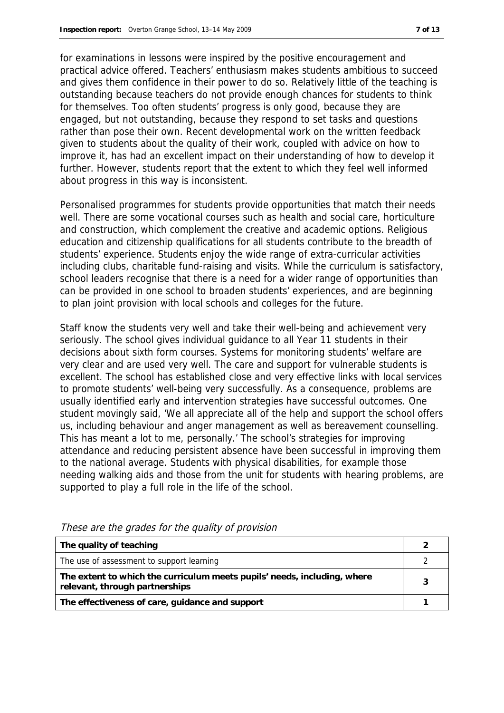for examinations in lessons were inspired by the positive encouragement and practical advice offered. Teachers' enthusiasm makes students ambitious to succeed and gives them confidence in their power to do so. Relatively little of the teaching is outstanding because teachers do not provide enough chances for students to think for themselves. Too often students' progress is only good, because they are engaged, but not outstanding, because they respond to set tasks and questions rather than pose their own. Recent developmental work on the written feedback given to students about the quality of their work, coupled with advice on how to improve it, has had an excellent impact on their understanding of how to develop it further. However, students report that the extent to which they feel well informed about progress in this way is inconsistent.

Personalised programmes for students provide opportunities that match their needs well. There are some vocational courses such as health and social care, horticulture and construction, which complement the creative and academic options. Religious education and citizenship qualifications for all students contribute to the breadth of students' experience. Students enjoy the wide range of extra-curricular activities including clubs, charitable fund-raising and visits. While the curriculum is satisfactory, school leaders recognise that there is a need for a wider range of opportunities than can be provided in one school to broaden students' experiences, and are beginning to plan joint provision with local schools and colleges for the future.

Staff know the students very well and take their well-being and achievement very seriously. The school gives individual guidance to all Year 11 students in their decisions about sixth form courses. Systems for monitoring students' welfare are very clear and are used very well. The care and support for vulnerable students is excellent. The school has established close and very effective links with local services to promote students' well-being very successfully. As a consequence, problems are usually identified early and intervention strategies have successful outcomes. One student movingly said, 'We all appreciate all of the help and support the school offers us, including behaviour and anger management as well as bereavement counselling. This has meant a lot to me, personally.' The school's strategies for improving attendance and reducing persistent absence have been successful in improving them to the national average. Students with physical disabilities, for example those needing walking aids and those from the unit for students with hearing problems, are supported to play a full role in the life of the school.

| The quality of teaching                                                                                    |  |
|------------------------------------------------------------------------------------------------------------|--|
| The use of assessment to support learning                                                                  |  |
| The extent to which the curriculum meets pupils' needs, including, where<br>relevant, through partnerships |  |
| The effectiveness of care, guidance and support                                                            |  |

These are the grades for the quality of provision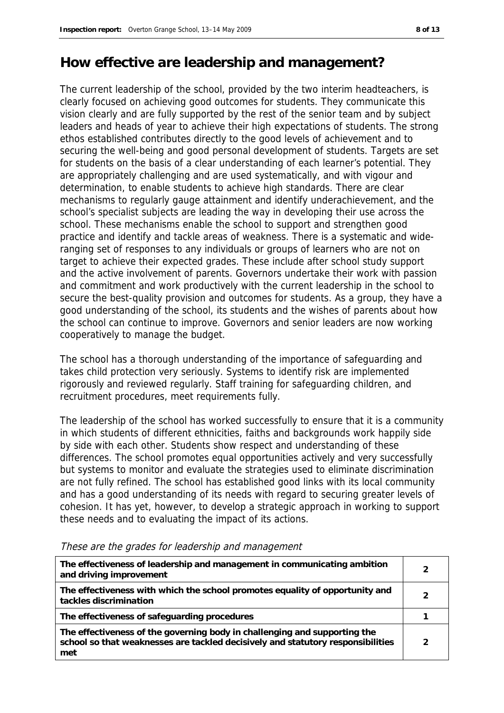#### **How effective are leadership and management?**

The current leadership of the school, provided by the two interim headteachers, is clearly focused on achieving good outcomes for students. They communicate this vision clearly and are fully supported by the rest of the senior team and by subject leaders and heads of year to achieve their high expectations of students. The strong ethos established contributes directly to the good levels of achievement and to securing the well-being and good personal development of students. Targets are set for students on the basis of a clear understanding of each learner's potential. They are appropriately challenging and are used systematically, and with vigour and determination, to enable students to achieve high standards. There are clear mechanisms to regularly gauge attainment and identify underachievement, and the school's specialist subjects are leading the way in developing their use across the school. These mechanisms enable the school to support and strengthen good practice and identify and tackle areas of weakness. There is a systematic and wideranging set of responses to any individuals or groups of learners who are not on target to achieve their expected grades. These include after school study support and the active involvement of parents. Governors undertake their work with passion and commitment and work productively with the current leadership in the school to secure the best-quality provision and outcomes for students. As a group, they have a good understanding of the school, its students and the wishes of parents about how the school can continue to improve. Governors and senior leaders are now working cooperatively to manage the budget.

The school has a thorough understanding of the importance of safeguarding and takes child protection very seriously. Systems to identify risk are implemented rigorously and reviewed regularly. Staff training for safeguarding children, and recruitment procedures, meet requirements fully.

The leadership of the school has worked successfully to ensure that it is a community in which students of different ethnicities, faiths and backgrounds work happily side by side with each other. Students show respect and understanding of these differences. The school promotes equal opportunities actively and very successfully but systems to monitor and evaluate the strategies used to eliminate discrimination are not fully refined. The school has established good links with its local community and has a good understanding of its needs with regard to securing greater levels of cohesion. It has yet, however, to develop a strategic approach in working to support these needs and to evaluating the impact of its actions.

| The effectiveness of leadership and management in communicating ambition<br>and driving improvement                                                                 |  |
|---------------------------------------------------------------------------------------------------------------------------------------------------------------------|--|
| The effectiveness with which the school promotes equality of opportunity and<br>tackles discrimination                                                              |  |
| The effectiveness of safeguarding procedures                                                                                                                        |  |
| The effectiveness of the governing body in challenging and supporting the<br>school so that weaknesses are tackled decisively and statutory responsibilities<br>met |  |

These are the grades for leadership and management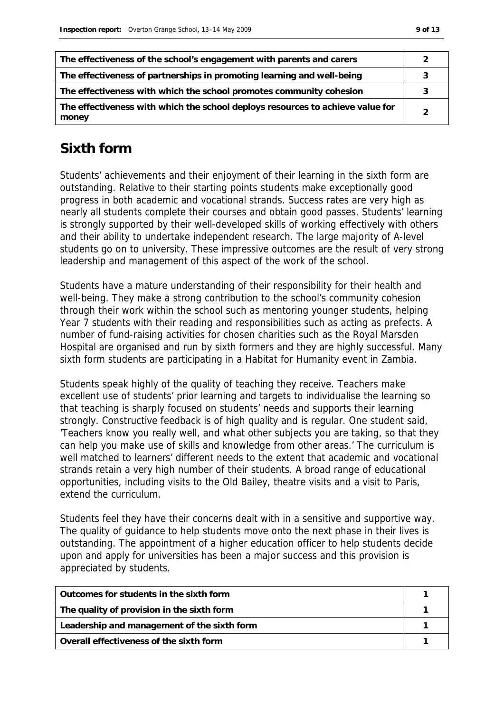| The effectiveness of the school's engagement with parents and carers                    |  |
|-----------------------------------------------------------------------------------------|--|
| The effectiveness of partnerships in promoting learning and well-being                  |  |
| The effectiveness with which the school promotes community cohesion                     |  |
| The effectiveness with which the school deploys resources to achieve value for<br>money |  |

#### **Sixth form**

Students' achievements and their enjoyment of their learning in the sixth form are outstanding. Relative to their starting points students make exceptionally good progress in both academic and vocational strands. Success rates are very high as nearly all students complete their courses and obtain good passes. Students' learning is strongly supported by their well-developed skills of working effectively with others and their ability to undertake independent research. The large majority of A-level students go on to university. These impressive outcomes are the result of very strong leadership and management of this aspect of the work of the school.

Students have a mature understanding of their responsibility for their health and well-being. They make a strong contribution to the school's community cohesion through their work within the school such as mentoring younger students, helping Year 7 students with their reading and responsibilities such as acting as prefects. A number of fund-raising activities for chosen charities such as the Royal Marsden Hospital are organised and run by sixth formers and they are highly successful. Many sixth form students are participating in a Habitat for Humanity event in Zambia.

Students speak highly of the quality of teaching they receive. Teachers make excellent use of students' prior learning and targets to individualise the learning so that teaching is sharply focused on students' needs and supports their learning strongly. Constructive feedback is of high quality and is regular. One student said, 'Teachers know you really well, and what other subjects you are taking, so that they can help you make use of skills and knowledge from other areas.' The curriculum is well matched to learners' different needs to the extent that academic and vocational strands retain a very high number of their students. A broad range of educational opportunities, including visits to the Old Bailey, theatre visits and a visit to Paris, extend the curriculum.

Students feel they have their concerns dealt with in a sensitive and supportive way. The quality of guidance to help students move onto the next phase in their lives is outstanding. The appointment of a higher education officer to help students decide upon and apply for universities has been a major success and this provision is appreciated by students.

| Outcomes for students in the sixth form     |  |
|---------------------------------------------|--|
| The quality of provision in the sixth form  |  |
| Leadership and management of the sixth form |  |
| Overall effectiveness of the sixth form     |  |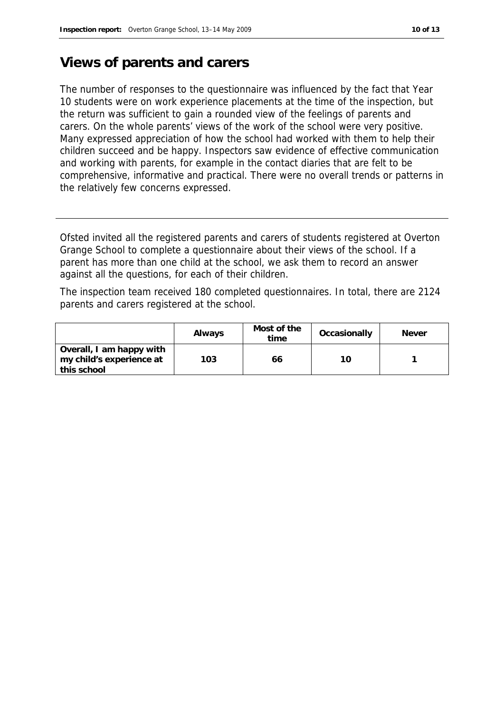#### **Views of parents and carers**

The number of responses to the questionnaire was influenced by the fact that Year 10 students were on work experience placements at the time of the inspection, but the return was sufficient to gain a rounded view of the feelings of parents and carers. On the whole parents' views of the work of the school were very positive. Many expressed appreciation of how the school had worked with them to help their children succeed and be happy. Inspectors saw evidence of effective communication and working with parents, for example in the contact diaries that are felt to be comprehensive, informative and practical. There were no overall trends or patterns in the relatively few concerns expressed.

Ofsted invited all the registered parents and carers of students registered at Overton Grange School to complete a questionnaire about their views of the school. If a parent has more than one child at the school, we ask them to record an answer against all the questions, for each of their children.

The inspection team received 180 completed questionnaires. In total, there are 2124 parents and carers registered at the school.

|                                                                     | Always | Most of the<br>time | Occasionally | <b>Never</b> |
|---------------------------------------------------------------------|--------|---------------------|--------------|--------------|
| Overall, I am happy with<br>my child's experience at<br>this school | 103    | 66                  | 10           |              |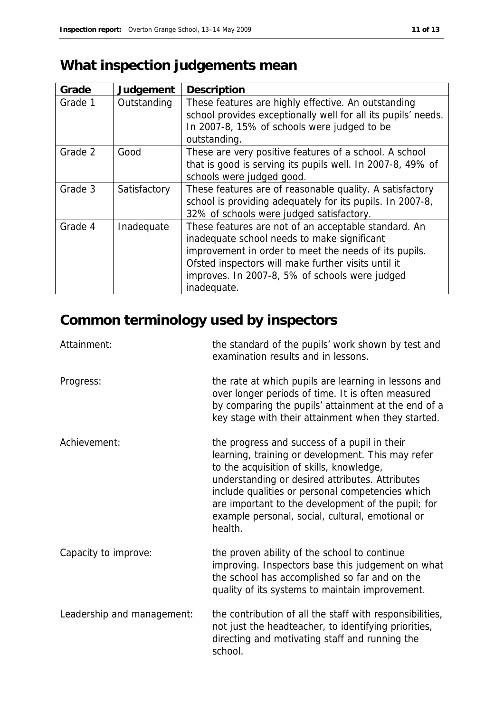# **What inspection judgements mean**

| Grade   | Judgement    | Description                                                                                                                                                                                                                                                                          |
|---------|--------------|--------------------------------------------------------------------------------------------------------------------------------------------------------------------------------------------------------------------------------------------------------------------------------------|
| Grade 1 | Outstanding  | These features are highly effective. An outstanding<br>school provides exceptionally well for all its pupils' needs.<br>In 2007-8, 15% of schools were judged to be<br>outstanding.                                                                                                  |
| Grade 2 | Good         | These are very positive features of a school. A school<br>that is good is serving its pupils well. In 2007-8, 49% of<br>schools were judged good.                                                                                                                                    |
| Grade 3 | Satisfactory | These features are of reasonable quality. A satisfactory<br>school is providing adequately for its pupils. In 2007-8,<br>32% of schools were judged satisfactory.                                                                                                                    |
| Grade 4 | Inadequate   | These features are not of an acceptable standard. An<br>inadequate school needs to make significant<br>improvement in order to meet the needs of its pupils.<br>Ofsted inspectors will make further visits until it<br>improves. In 2007-8, 5% of schools were judged<br>inadequate. |

# **Common terminology used by inspectors**

| Attainment:                | the standard of the pupils' work shown by test and<br>examination results and in lessons.                                                                                                                                                                                                                                                                                 |
|----------------------------|---------------------------------------------------------------------------------------------------------------------------------------------------------------------------------------------------------------------------------------------------------------------------------------------------------------------------------------------------------------------------|
| Progress:                  | the rate at which pupils are learning in lessons and<br>over longer periods of time. It is often measured<br>by comparing the pupils' attainment at the end of a<br>key stage with their attainment when they started.                                                                                                                                                    |
| Achievement:               | the progress and success of a pupil in their<br>learning, training or development. This may refer<br>to the acquisition of skills, knowledge,<br>understanding or desired attributes. Attributes<br>include qualities or personal competencies which<br>are important to the development of the pupil; for<br>example personal, social, cultural, emotional or<br>health. |
| Capacity to improve:       | the proven ability of the school to continue<br>improving. Inspectors base this judgement on what<br>the school has accomplished so far and on the<br>quality of its systems to maintain improvement.                                                                                                                                                                     |
| Leadership and management: | the contribution of all the staff with responsibilities,<br>not just the headteacher, to identifying priorities,<br>directing and motivating staff and running the<br>school.                                                                                                                                                                                             |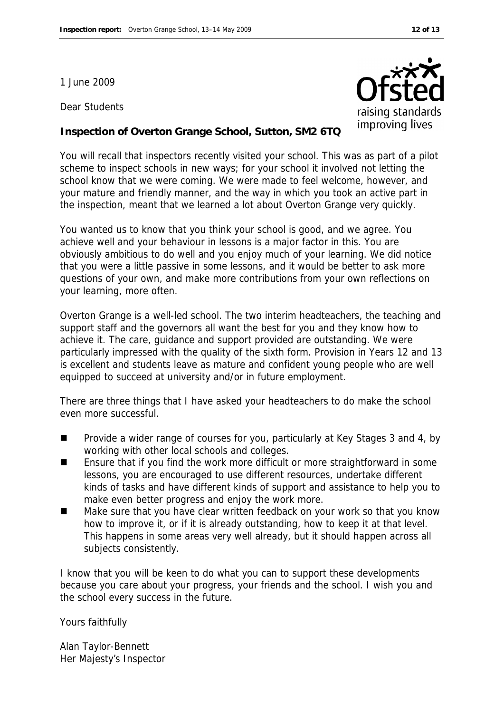1 June 2009

Dear Students



#### **Inspection of Overton Grange School, Sutton, SM2 6TQ**

You will recall that inspectors recently visited your school. This was as part of a pilot scheme to inspect schools in new ways; for your school it involved not letting the school know that we were coming. We were made to feel welcome, however, and your mature and friendly manner, and the way in which you took an active part in the inspection, meant that we learned a lot about Overton Grange very quickly.

You wanted us to know that you think your school is good, and we agree. You achieve well and your behaviour in lessons is a major factor in this. You are obviously ambitious to do well and you enjoy much of your learning. We did notice that you were a little passive in some lessons, and it would be better to ask more questions of your own, and make more contributions from your own reflections on your learning, more often.

Overton Grange is a well-led school. The two interim headteachers, the teaching and support staff and the governors all want the best for you and they know how to achieve it. The care, guidance and support provided are outstanding. We were particularly impressed with the quality of the sixth form. Provision in Years 12 and 13 is excellent and students leave as mature and confident young people who are well equipped to succeed at university and/or in future employment.

There are three things that I have asked your headteachers to do make the school even more successful.

- Provide a wider range of courses for you, particularly at Key Stages 3 and 4, by working with other local schools and colleges.
- Ensure that if you find the work more difficult or more straightforward in some lessons, you are encouraged to use different resources, undertake different kinds of tasks and have different kinds of support and assistance to help you to make even better progress and enjoy the work more.
- Make sure that you have clear written feedback on your work so that you know how to improve it, or if it is already outstanding, how to keep it at that level. This happens in some areas very well already, but it should happen across all subjects consistently.

I know that you will be keen to do what you can to support these developments because you care about your progress, your friends and the school. I wish you and the school every success in the future.

Yours faithfully

Alan Taylor-Bennett Her Majesty's Inspector